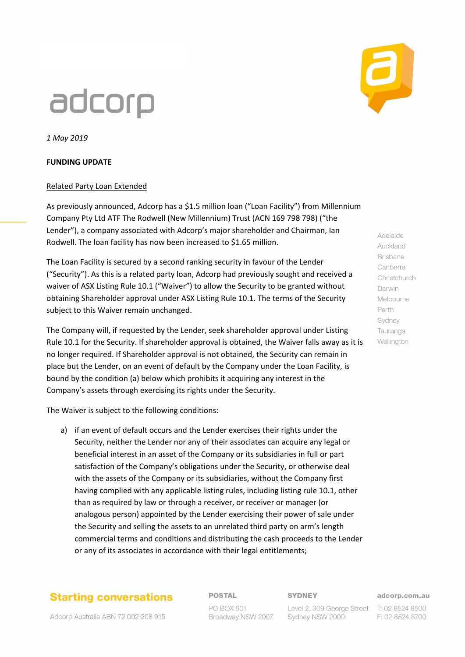# adcorp

*1 May 2019*

### **FUNDING UPDATE**

### Related Party Loan Extended

As previously announced, Adcorp has a \$1.5 million loan ("Loan Facility") from Millennium Company Pty Ltd ATF The Rodwell (New Millennium) Trust (ACN 169 798 798) ("the Lender"), a company associated with Adcorp's major shareholder and Chairman, Ian Rodwell. The loan facility has now been increased to \$1.65 million.

The Loan Facility is secured by a second ranking security in favour of the Lender ("Security"). As this is a related party loan, Adcorp had previously sought and received a waiver of ASX Listing Rule 10.1 ("Waiver") to allow the Security to be granted without obtaining Shareholder approval under ASX Listing Rule 10.1. The terms of the Security subject to this Waiver remain unchanged.

The Company will, if requested by the Lender, seek shareholder approval under Listing Rule 10.1 for the Security. If shareholder approval is obtained, the Waiver falls away as it is no longer required. If Shareholder approval is not obtained, the Security can remain in place but the Lender, on an event of default by the Company under the Loan Facility, is bound by the condition (a) below which prohibits it acquiring any interest in the Company's assets through exercising its rights under the Security.

The Waiver is subject to the following conditions:

a) if an event of default occurs and the Lender exercises their rights under the Security, neither the Lender nor any of their associates can acquire any legal or beneficial interest in an asset of the Company or its subsidiaries in full or part satisfaction of the Company's obligations under the Security, or otherwise deal with the assets of the Company or its subsidiaries, without the Company first having complied with any applicable listing rules, including listing rule 10.1, other than as required by law or through a receiver, or receiver or manager (or analogous person) appointed by the Lender exercising their power of sale under the Security and selling the assets to an unrelated third party on arm's length commercial terms and conditions and distributing the cash proceeds to the Lender or any of its associates in accordance with their legal entitlements;

### **Starting conversations**

Adcorp Australia ABN 72 002 208 915

**POSTAL** PO BOX 601 Broadway NSW 2007 **SYDNEY** 

adcorp.com.au

Level 2, 309 George Street T: 02 8524 8500 Sydney NSW 2000

F: 02 8524 8700